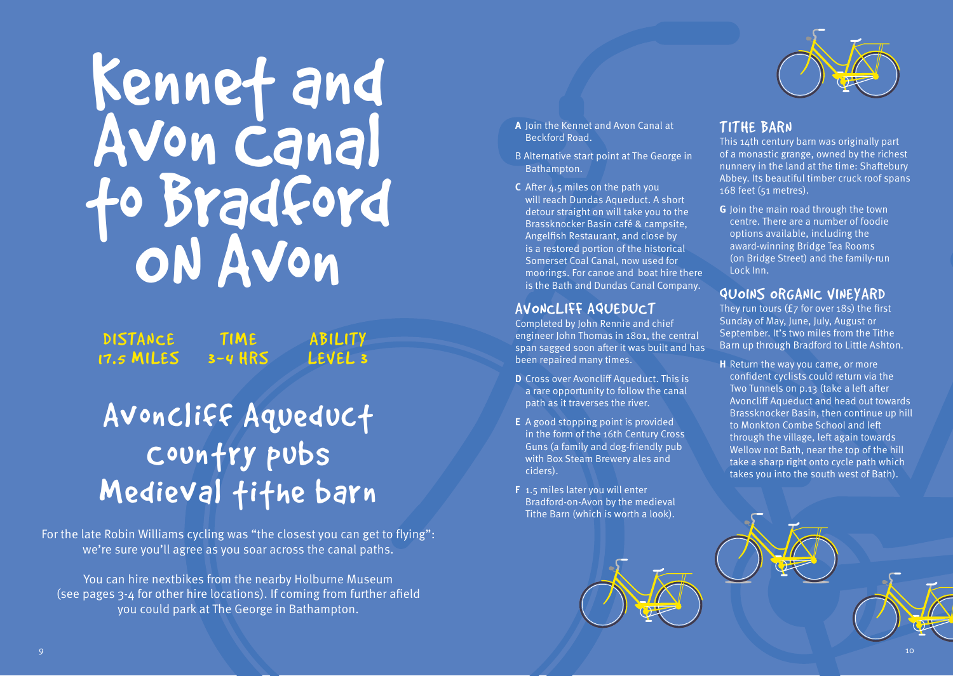# Kennet and Avon Canal to Bradford ON Avon

**DISTANCE** 17.5 MILES 3-4 HRS **ABILITY** LEVEL 3

## Avoncliff Aqueduct Country pubs Medieval tithe barn

**TIME** 

For the late Robin Williams cycling was "the closest you can get to flying": we're sure you'll agree as you soar across the canal paths.

You can hire nextbikes from the nearby Holburne Museum (see pages 3-4 for other hire locations). If coming from further afield you could park at The George in Bathampton.



- **A** Join the Kennet and Avon Canal at Beckford Road.
- B Alternative start point at The George in Bathampton.
- **C** After 4.5 miles on the path you will reach Dundas Aqueduct. A short detour straight on will take you to the Brassknocker Basin café & campsite, Angelfish Restaurant, and close by is a restored portion of the historical Somerset Coal Canal, now used for moorings. For canoe and boat hire there is the Bath and Dundas Canal Company.

#### AVONCLIFF AQUEDUCT

Completed by John Rennie and chief engineer John Thomas in 1801, the central span sagged soon after it was built and has been repaired many times.

- **D** Cross over Avoncliff Aqueduct. This is a rare opportunity to follow the canal path as it traverses the river.
- **E** A good stopping point is provided in the form of the 16th Century Cross Guns (a family and dog-friendly pub with Box Steam Brewery ales and ciders).
- **F** 1.5 miles later you will enter Bradford-on-Avon by the medieval Tithe Barn (which is worth a look).

#### TITHE BARN

This 14th century barn was originally part of a monastic grange, owned by the richest nunnery in the land at the time: Shaftebury Abbey. Its beautiful timber cruck roof spans 168 feet (51 metres).

**G** Join the main road through the town centre. There are a number of foodie options available, including the award-winning Bridge Tea Rooms (on Bridge Street) and the family-run Lock Inn.

#### QUOINS ORGANIC VINEYARD

They run tours (£7 for over 18s) the first Sunday of May, June, July, August or September. It's two miles from the Tithe Barn up through Bradford to Little Ashton.

**H** Return the way you came, or more confident cyclists could return via the Two Tunnels on p.13 (take a left after Avoncliff Aqueduct and head out towards Brassknocker Basin, then continue up hill to Monkton Combe School and left through the village, left again towards Wellow not Bath, near the top of the hill take a sharp right onto cycle path which takes you into the south west of Bath).